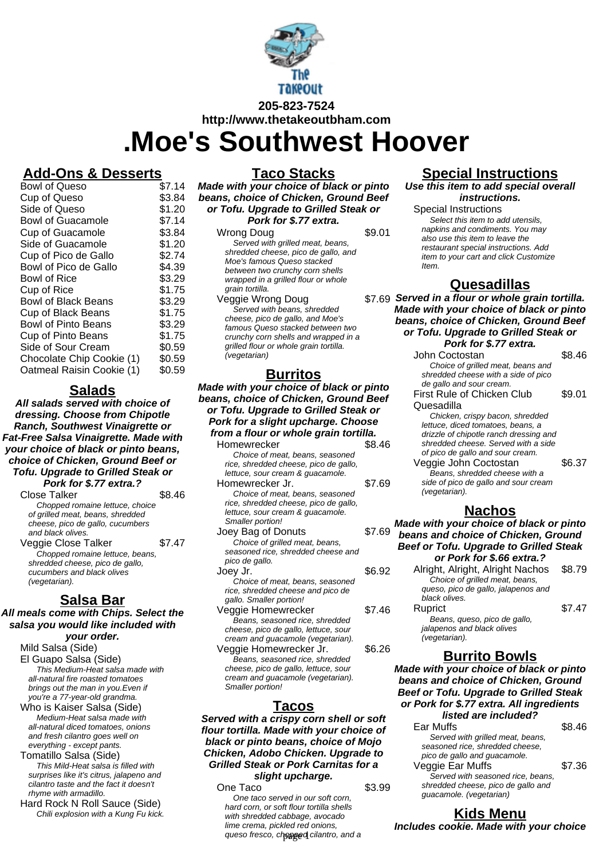

**http://www.thetakeoutbham.com**

# **.Moe's Southwest Hoover**

#### **Add-Ons & Desserts**

| Bowl of Queso              | \$7.14 |
|----------------------------|--------|
| Cup of Queso               | \$3.84 |
| Side of Queso              | \$1.20 |
| <b>Bowl of Guacamole</b>   | \$7.14 |
| <b>Cup of Guacamole</b>    | \$3.84 |
| Side of Guacamole          | \$1.20 |
| Cup of Pico de Gallo       | \$2.74 |
| Bowl of Pico de Gallo      | \$4.39 |
| Bowl of Rice               | \$3.29 |
| Cup of Rice                | \$1.75 |
| <b>Bowl of Black Beans</b> | \$3.29 |
| <b>Cup of Black Beans</b>  | \$1.75 |
| <b>Bowl of Pinto Beans</b> | \$3.29 |
| Cup of Pinto Beans         | \$1.75 |
| Side of Sour Cream         | \$0.59 |
| Chocolate Chip Cookie (1)  | \$0.59 |
| Oatmeal Raisin Cookie (1)  | \$0.59 |
|                            |        |

#### **Salads**

**All salads served with choice of dressing. Choose from Chipotle Ranch, Southwest Vinaigrette or Fat-Free Salsa Vinaigrette. Made with your choice of black or pinto beans, choice of Chicken, Ground Beef or Tofu. Upgrade to Grilled Steak or**

**Pork for \$.77 extra.?** Close Talker \$8.46 Chopped romaine lettuce, choice of grilled meat, beans, shredded cheese, pico de gallo, cucumbers and black olives. Veggie Close Talker \$7.47

Chopped romaine lettuce, beans, shredded cheese, pico de gallo, cucumbers and black olives (vegetarian).

#### **Salsa Bar**

**All meals come with Chips. Select the salsa you would like included with your order.**

Mild Salsa (Side) El Guapo Salsa (Side) This Medium-Heat salsa made with all-natural fire roasted tomatoes brings out the man in you.Even if you're a 77-year-old grandma. Who is Kaiser Salsa (Side)

Medium-Heat salsa made with all-natural diced tomatoes, onions and fresh cilantro goes well on everything - except pants.

Tomatillo Salsa (Side) This Mild-Heat salsa is filled with surprises like it's citrus, jalapeno and cilantro taste and the fact it doesn't rhyme with armadillo.

Hard Rock N Roll Sauce (Side) Chili explosion with a Kung Fu kick. **Taco Stacks**

**Made with your choice of black or pinto beans, choice of Chicken, Ground Beef or Tofu. Upgrade to Grilled Steak or Pork for \$.77 extra.**

| Wrong Doug                             |        |
|----------------------------------------|--------|
| Served with grilled meat, beans,       |        |
| shredded cheese, pico de gallo, and    |        |
| Moe's famous Queso stacked             |        |
| between two crunchy corn shells        |        |
| wrapped in a grilled flour or whole    |        |
| grain tortilla.                        |        |
| Veggie Wrong Doug                      | \$7.69 |
| Served with beans, shredded            |        |
| cheese, pico de gallo, and Moe's       |        |
| famous Queso stacked between two       |        |
| crunchy corn shells and wrapped in a   |        |
| grilled flour or whole grain tortilla. |        |
| (vegetarian)                           |        |
|                                        |        |

#### **Burritos**

**Made with your choice of black or pinto beans, choice of Chicken, Ground Beef or Tofu. Upgrade to Grilled Steak or Pork for a slight upcharge. Choose from a flour or whole grain tortilla.** Homewrecker \$8.46 Choice of meat, beans, seasoned rice, shredded cheese, pico de gallo, lettuce, sour cream & guacamole.

Homewrecker Jr. \$7.69 Choice of meat, beans, seasoned rice, shredded cheese, pico de gallo, lettuce, sour cream & guacamole. Smaller portion! Joey Bag of Donuts \$7.69 Choice of grilled meat, beans, seasoned rice, shredded cheese and

pico de gallo. Joey Jr. 6.92 Choice of meat, beans, seasoned

- rice, shredded cheese and pico de gallo. Smaller portion! Veggie Homewrecker \$7.46
- Beans, seasoned rice, shredded cheese, pico de gallo, lettuce, sour cream and guacamole (vegetarian). Veggie Homewrecker Jr. \$6.26
- Beans, seasoned rice, shredded cheese, pico de gallo, lettuce, sour cream and guacamole (vegetarian). Smaller portion!

#### **Tacos**

**Served with a crispy corn shell or soft flour tortilla. Made with your choice of black or pinto beans, choice of Mojo Chicken, Adobo Chicken. Upgrade to Grilled Steak or Pork Carnitas for a slight upcharge.**

One Taco \$3.99 One taco served in our soft corn, hard corn, or soft flour tortilla shells with shredded cabbage, avocado lime crema, pickled red onions, queso fresco, ch**opped** cilantro, and a

### **Special Instructions**

**Use this item to add special overall instructions.**

Special Instructions Select this item to add utensils. napkins and condiments. You may also use this item to leave the restaurant special instructions. Add item to your cart and click Customize Item.

#### **Quesadillas**

**Served in a flour or whole grain tortilla. Made with your choice of black or pinto beans, choice of Chicken, Ground Beef or Tofu. Upgrade to Grilled Steak or Pork for \$.77 extra.**

| , טוח וטו שנו כאנופו                   |        |  |  |
|----------------------------------------|--------|--|--|
| John Coctostan                         | \$8.46 |  |  |
| Choice of grilled meat, beans and      |        |  |  |
| shredded cheese with a side of pico    |        |  |  |
| de gallo and sour cream.               |        |  |  |
| <b>First Rule of Chicken Club</b>      | \$9.01 |  |  |
| Quesadilla                             |        |  |  |
| Chicken, crispy bacon, shredded        |        |  |  |
| lettuce, diced tomatoes, beans, a      |        |  |  |
| drizzle of chipotle ranch dressing and |        |  |  |
| shredded cheese. Served with a side    |        |  |  |
| of pico de gallo and sour cream.       |        |  |  |
| Veggie John Coctostan                  | \$6.37 |  |  |
| Beans, shredded cheese with a          |        |  |  |
| side of pico de gallo and sour cream   |        |  |  |
| (vegetarian).                          |        |  |  |
| Nachos                                 |        |  |  |

**Made with your choice of black or pinto beans and choice of Chicken, Ground Beef or Tofu. Upgrade to Grilled Steak or Pork for \$.66 extra.?**

Alright, Alright, Alright Nachos \$8.79 Choice of grilled meat, beans, queso, pico de gallo, jalapenos and black olives. Ruprict \$7.47 Beans, queso, pico de gallo, jalapenos and black olives (vegetarian).

#### **Burrito Bowls**

**Made with your choice of black or pinto beans and choice of Chicken, Ground Beef or Tofu. Upgrade to Grilled Steak or Pork for \$.77 extra. All ingredients listed are included?**

| Ear Muffs                          | \$8.46 |
|------------------------------------|--------|
| Served with grilled meat, beans,   |        |
| seasoned rice, shredded cheese,    |        |
| pico de gallo and guacamole.       |        |
| Veggie Ear Muffs                   | \$7.36 |
| Served with seasoned rice, beans,  |        |
| shredded cheese, pico de gallo and |        |
| guacamole. (vegetarian)            |        |

**Kids Menu**

**Includes cookie. Made with your choice**